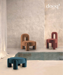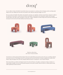

At every edition of Salone del Mobile, Dooq Details releases new products in a continuous effort of bringing creativity and high quality design to the event, adding at the same time new products to the collection which grows bigger every year.

This year in Salone del Mobile's 2022 edition, Dooq Details is releasing a new upholstery collection named Marlon, designed in collaboration with Pietro Franceschini, a world renowned architect and designer. Dooq Details is also releasing the exquisite and extravagant Nouvelle Vague center table, made of portuguese ceramic tiles, a unique combination of modern design and ancestral tile techniques and showing live for the first time the Kisho Sideboard and L'Anamour tables.



Marlon collection By Pietro Franceschini

Our brand new creation partened with the designer Pietro Franceschini! When pure geometry meets soft curves, something sculptural and sensual comes out. A fine dialogue between oversized legs and clean lines takes place in this piece upholstered in mohair velvet. Marlon is edgy and elegant at the same time, letting the dilemma between 'contemporary' versus 'classical' fall apart.

Pietro Franceschini is an architect and designer based in New York and Florence. He applies a contemporary design vocabulary to a classical Italian sensibility. Irreverent and Emotionally impactful, Franceschini's furniture reflects his desire to combine playful energy within sophisticated, timeless elements.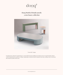

# **Dooq World of Details unveils a new luxury collection**



Nouvelle Vague

Exceptional in its craftwork, Nouvelle Vague is a center table that rejects traditional conventions in favor of experimentation. Round ceramic handmade pieces, painted in a unique craquele glaze are placed around a lacquered center top, creating a sense of movement that evokes the motion of the waves.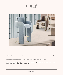



Odisseia bar chair and armchair

In 2022 Dooq Details launches a new collection that comprises retro vibes mixed with natural textures and tones, creating an ecclectic fusion of elements that complement each other and where color plays a fundamental part.

Bulky, sculptural shapes contrast with soft and smooth textures, throwing back to a luxurious space age time.

Earthy tones and raw materials go along with solid structures in a down to earth approach, in which the natural characteristics of the materials are the main focus and the exponent of sophistication.

Shapes are exacerbated and so are the senses, in this new collection that promises to captivate and inspire.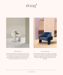





### Odisseia chair

Odisseia chair embodies the aesthetic spirit of the space age, a new kind of discreet luxury and comfort inspired by a futuristic era created by new visual experiences and concepts of the future. This effortless but striking piece insinuates a luxe vision of the home of the future, as a new order of being.

## L'Unite armchair

L'Unité armchair is proportional and sculptural, perfectly made to the human scale. It gathers strong upholstered shapes lightly supported on elegant stands. A piece that excites the eye and imagination, inspired by modernist architecture's style and philosophy.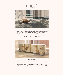



### stick & stone center table

As a way to attain perfection, one must balance two opposite parts that complement each other and are mutually exclusive, meaning one cannot sustain without the other. This concept is behind Stick and Stone Center Tables, by combining two very different materials, the hard and raw travertine with the soft and warm oak, creating a visual dichotomy that projects perfect balance.



## kisho sideboard

Embodying a meeting point of western and eastern aesthetics, Kisho Sideboard combines a rich mix of refined artistic techniques, organic shapes, natural colors and textures showing evidence of the visually inspiring movement of Japanese Modernism, that is very much present in this piece and sets the tone to its raw but sophisticated design.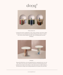



## Souk mirrors

Created by the perfect combination of color, energy and shape, Souk mirrors reflect the influences of overwhelming and visually fascinating Souk markets in northern Africa with its vibrant fringes and earthy colors resembling typical macramé techniques.



### braque

 Braque Side Table shows a torn and fragmented form, exposing the inner core of its base, which can be seen from a whole new perspective. This rebel approach took inspiration from Cubism and its influence in the representation of reality, leading to a deconstruction of shapes and revealing simultaneous view points at the same time.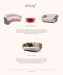







## Malibu Pouf and Sofa

Like a warm embrace, Malibu settee welcomes you to stay within and relax. An elevated homage to the golden age of mid-century design and organic architecture, it radiates through its unusual proportions and strong curves with softness and fine detailing resulting in a must-have piece.



Single Man Sofa

Setting its origin in sunny California's mid-century influence, Single Man's collection takes you back to a time when elegance was obtained through the use of simplicity, comfort and fine materials. Using essential geometric and organic shapes, this collection creates a strong emotional connection with the user.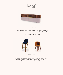



### Berlin Sideboard

Like its name suggests, Berlin sideboard is inspired by Bauhaus, a wave of thought that is impossible to overlook when passing through the streets of Berlin. In a more down to earth piece, clean lines and a certain absence of excessive ornamentation result in a harmony between design and function.



Alma Chairs

In a piece that combines classic and modern aesthetics we can find a certain harmonic gracefulness paired with an intimate voluptuousness that can embrace you and surprisingly break the frontiers of sophistication and elegance.